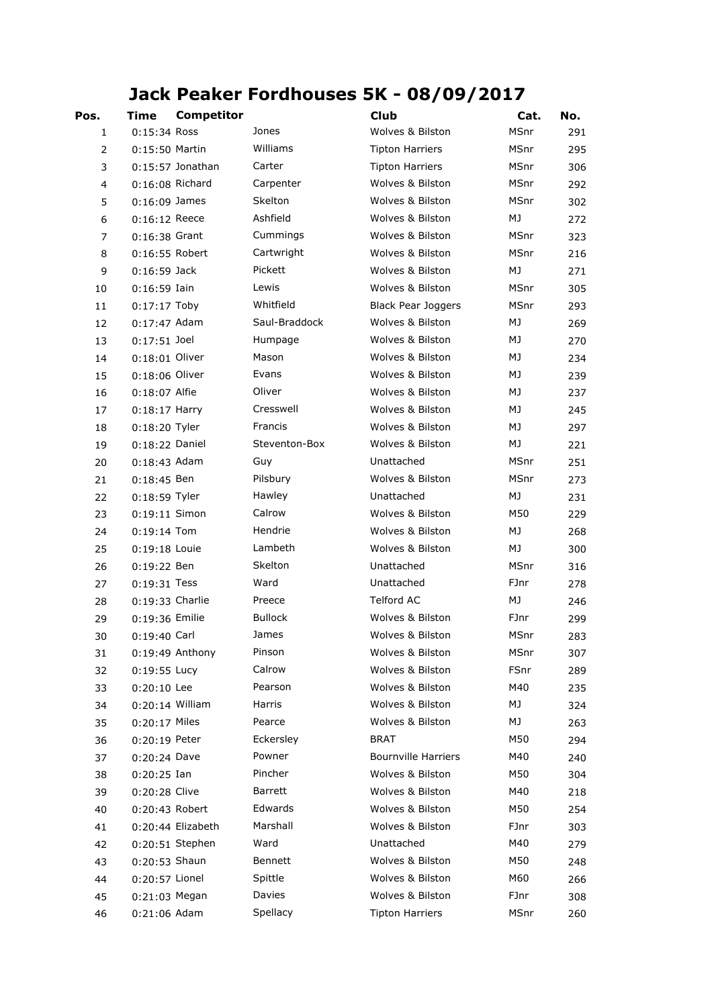## **Jack Peaker Fordhouses 5K - 08/09/2017**

| Pos.                    | Time              | <b>Competitor</b>  |                | <b>Club</b>                | Cat. | No. |
|-------------------------|-------------------|--------------------|----------------|----------------------------|------|-----|
| 1                       | $0:15:34$ Ross    |                    | Jones          | Wolves & Bilston           | MSnr | 291 |
| $\overline{2}$          | 0:15:50 Martin    |                    | Williams       | <b>Tipton Harriers</b>     | MSnr | 295 |
| 3                       |                   | $0:15:57$ Jonathan | Carter         | <b>Tipton Harriers</b>     | MSnr | 306 |
| $\overline{\mathbf{4}}$ | 0:16:08 Richard   |                    | Carpenter      | Wolves & Bilston           | MSnr | 292 |
| 5                       | $0:16:09$ James   |                    | Skelton        | Wolves & Bilston           | MSnr | 302 |
| 6                       | $0:16:12$ Reece   |                    | Ashfield       | Wolves & Bilston           | MJ   | 272 |
| 7                       | $0:16:38$ Grant   |                    | Cummings       | Wolves & Bilston           | MSnr | 323 |
| 8                       | 0:16:55 Robert    |                    | Cartwright     | Wolves & Bilston           | MSnr | 216 |
| 9                       | $0:16:59$ Jack    |                    | Pickett        | Wolves & Bilston           | MJ   | 271 |
| 10                      | $0:16:59$ Iain    |                    | Lewis          | Wolves & Bilston           | MSnr | 305 |
| 11                      | $0:17:17$ Toby    |                    | Whitfield      | <b>Black Pear Joggers</b>  | MSnr | 293 |
| 12                      | $0:17:47$ Adam    |                    | Saul-Braddock  | Wolves & Bilston           | MJ   | 269 |
| 13                      | $0:17:51$ Joel    |                    | Humpage        | Wolves & Bilston           | MJ   | 270 |
| 14                      | 0:18:01 Oliver    |                    | Mason          | Wolves & Bilston           | МJ   | 234 |
| 15                      | 0:18:06 Oliver    |                    | Evans          | Wolves & Bilston           | МJ   | 239 |
| 16                      | 0:18:07 Alfie     |                    | Oliver         | Wolves & Bilston           | МJ   | 237 |
| 17                      | $0:18:17$ Harry   |                    | Cresswell      | Wolves & Bilston           | МJ   | 245 |
| 18                      | $0:18:20$ Tyler   |                    | Francis        | Wolves & Bilston           | MJ   | 297 |
| 19                      | 0:18:22 Daniel    |                    | Steventon-Box  | Wolves & Bilston           | МJ   | 221 |
| 20                      | $0:18:43$ Adam    |                    | Guy            | Unattached                 | MSnr | 251 |
| 21                      | $0:18:45$ Ben     |                    | Pilsbury       | Wolves & Bilston           | MSnr | 273 |
| 22                      | $0:18:59$ Tyler   |                    | Hawley         | Unattached                 | МJ   | 231 |
| 23                      | $0:19:11$ Simon   |                    | Calrow         | Wolves & Bilston           | M50  | 229 |
| 24                      | $0:19:14$ Tom     |                    | Hendrie        | Wolves & Bilston           | MJ   | 268 |
| 25                      | $0:19:18$ Louie   |                    | Lambeth        | Wolves & Bilston           | MJ   | 300 |
| 26                      | 0:19:22 Ben       |                    | Skelton        | Unattached                 | MSnr | 316 |
| 27                      | $0:19:31$ Tess    |                    | Ward           | Unattached                 | FJnr | 278 |
| 28                      | 0:19:33 Charlie   |                    | Preece         | Telford AC                 | МJ   | 246 |
| 29                      | 0:19:36 Emilie    |                    | <b>Bullock</b> | Wolves & Bilston           | FJnr | 299 |
| 30                      | $0:19:40$ Carl    |                    | James          | Wolves & Bilston           | MSnr | 283 |
| 31                      |                   | 0:19:49 Anthony    | Pinson         | Wolves & Bilston           | MSnr | 307 |
| 32                      | $0:19:55$ Lucy    |                    | Calrow         | Wolves & Bilston           | FSnr | 289 |
| 33                      | $0:20:10$ Lee     |                    | Pearson        | Wolves & Bilston           | M40  | 235 |
| 34                      | $0:20:14$ William |                    | Harris         | Wolves & Bilston           | МJ   | 324 |
| 35                      | 0:20:17 Miles     |                    | Pearce         | Wolves & Bilston           | МJ   | 263 |
| 36                      | 0:20:19 Peter     |                    | Eckersley      | BRAT                       | M50  | 294 |
| 37                      | 0:20:24 Dave      |                    | Powner         | <b>Bournville Harriers</b> | M40  | 240 |
| 38                      | $0:20:25$ Ian     |                    | Pincher        | Wolves & Bilston           | M50  | 304 |
| 39                      | 0:20:28 Clive     |                    | Barrett        | Wolves & Bilston           | M40  | 218 |
| 40                      | 0:20:43 Robert    |                    | Edwards        | Wolves & Bilston           | M50  | 254 |
| 41                      |                   | 0:20:44 Elizabeth  | Marshall       | Wolves & Bilston           | FJnr | 303 |
| 42                      |                   | 0:20:51 Stephen    | Ward           | Unattached                 | M40  | 279 |
| 43                      | 0:20:53 Shaun     |                    | Bennett        | Wolves & Bilston           | M50  | 248 |
| 44                      | 0:20:57 Lionel    |                    | Spittle        | Wolves & Bilston           | M60  | 266 |
| 45                      | 0:21:03 Megan     |                    | Davies         | Wolves & Bilston           | FJnr | 308 |
| 46                      | 0:21:06 Adam      |                    | Spellacy       | <b>Tipton Harriers</b>     | MSnr | 260 |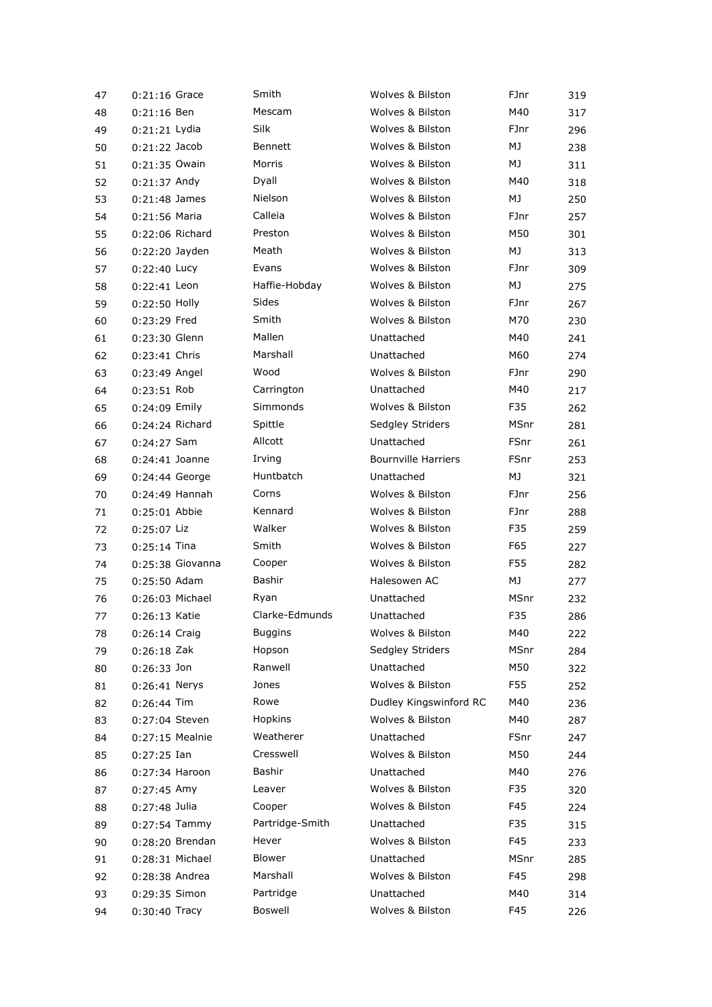| 47 | 0:21:16 Grace     | Smith           | Wolves & Bilston               | FJnr         | 319 |
|----|-------------------|-----------------|--------------------------------|--------------|-----|
| 48 | $0:21:16$ Ben     | Mescam          | Wolves & Bilston               | M40          | 317 |
| 49 | 0:21:21 Lydia     | Silk            | Wolves & Bilston               | FJnr         | 296 |
| 50 | $0:21:22$ Jacob   | <b>Bennett</b>  | Wolves & Bilston               | MJ           | 238 |
| 51 | 0:21:35 Owain     | Morris          | Wolves & Bilston               | МJ           | 311 |
| 52 | $0:21:37$ Andy    | Dyall           | Wolves & Bilston               | M40          | 318 |
| 53 | $0:21:48$ James   | Nielson         | Wolves & Bilston               | MJ           | 250 |
| 54 | 0:21:56 Maria     | Calleia         | Wolves & Bilston               | FJnr         | 257 |
| 55 | 0:22:06 Richard   | Preston         | Wolves & Bilston               | M50          | 301 |
| 56 | 0:22:20 Jayden    | Meath           | Wolves & Bilston               | MJ           | 313 |
| 57 | 0:22:40 Lucy      | Evans           | Wolves & Bilston               | FJnr         | 309 |
| 58 | 0:22:41 Leon      | Haffie-Hobday   | Wolves & Bilston               | MJ           | 275 |
| 59 | $0:22:50$ Holly   | Sides           | Wolves & Bilston               | FJnr         | 267 |
| 60 | 0:23:29 Fred      | Smith           | Wolves & Bilston               | M70          | 230 |
| 61 | 0:23:30 Glenn     | Mallen          | Unattached                     | M40          | 241 |
| 62 | 0:23:41 Chris     | Marshall        | Unattached                     | M60          | 274 |
| 63 | 0:23:49 Angel     | Wood            | Wolves & Bilston               | FJnr         | 290 |
| 64 | 0:23:51 Rob       | Carrington      | Unattached                     | M40          | 217 |
|    | 0:24:09 Emily     | Simmonds        | Wolves & Bilston               | F35          | 262 |
| 65 | 0:24:24 Richard   | Spittle         |                                | MSnr         |     |
| 66 |                   | Allcott         | Sedgley Striders<br>Unattached |              | 281 |
| 67 | $0:24:27$ Sam     |                 | <b>Bournville Harriers</b>     | FSnr<br>FSnr | 261 |
| 68 | $0:24:41$ Joanne  | Irving          |                                |              | 253 |
| 69 | 0:24:44 George    | Huntbatch       | Unattached                     | MJ           | 321 |
| 70 | $0:24:49$ Hannah  | Corns           | Wolves & Bilston               | FJnr         | 256 |
| 71 | $0:25:01$ Abbie   | Kennard         | Wolves & Bilston               | FJnr         | 288 |
| 72 | 0:25:07 Liz       | Walker          | Wolves & Bilston               | F35          | 259 |
| 73 | $0:25:14$ Tina    | Smith           | Wolves & Bilston               | F65          | 227 |
| 74 | 0:25:38 Giovanna  | Cooper          | Wolves & Bilston               | F55          | 282 |
| 75 | 0:25:50 Adam      | Bashir          | Halesowen AC                   | МJ           | 277 |
| 76 | $0:26:03$ Michael | Ryan            | Unattached                     | MSnr         | 232 |
| 77 | 0:26:13 Katie     | Clarke-Edmunds  | Unattached                     | F35          | 286 |
| 78 | 0:26:14 Craig     | <b>Buggins</b>  | Wolves & Bilston               | M40          | 222 |
| 79 | $0:26:18$ Zak     | Hopson          | Sedgley Striders               | MSnr         | 284 |
| 80 | $0:26:33$ Jon     | Ranwell         | Unattached                     | M50          | 322 |
| 81 | $0:26:41$ Nerys   | Jones           | Wolves & Bilston               | F55          | 252 |
| 82 | $0:26:44$ Tim     | Rowe            | Dudley Kingswinford RC         | M40          | 236 |
| 83 | 0:27:04 Steven    | Hopkins         | Wolves & Bilston               | M40          | 287 |
| 84 | 0:27:15 Mealnie   | Weatherer       | Unattached                     | FSnr         | 247 |
| 85 | $0:27:25$ Ian     | Cresswell       | Wolves & Bilston               | M50          | 244 |
| 86 | $0:27:34$ Haroon  | Bashir          | Unattached                     | M40          | 276 |
| 87 | $0:27:45$ Amy     | Leaver          | Wolves & Bilston               | F35          | 320 |
| 88 | 0:27:48 Julia     | Cooper          | Wolves & Bilston               | F45          | 224 |
| 89 | $0:27:54$ Tammy   | Partridge-Smith | Unattached                     | F35          | 315 |
| 90 | 0:28:20 Brendan   | Hever           | Wolves & Bilston               | F45          | 233 |
| 91 | 0:28:31 Michael   | Blower          | Unattached                     | MSnr         | 285 |
| 92 | 0:28:38 Andrea    | Marshall        | Wolves & Bilston               | F45          | 298 |
| 93 | 0:29:35 Simon     | Partridge       | Unattached                     | M40          | 314 |
| 94 | $0:30:40$ Tracy   | Boswell         | Wolves & Bilston               | F45          | 226 |